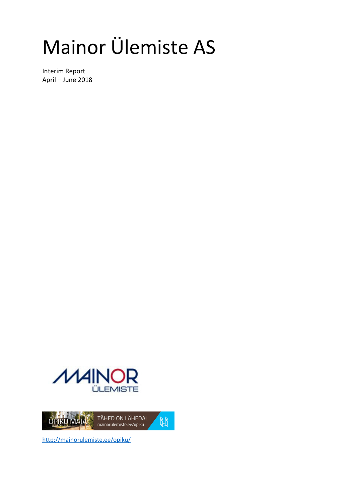# Mainor Ülemiste AS

Interim Report April – June 2018





http://mainorulemiste.ee/opiku/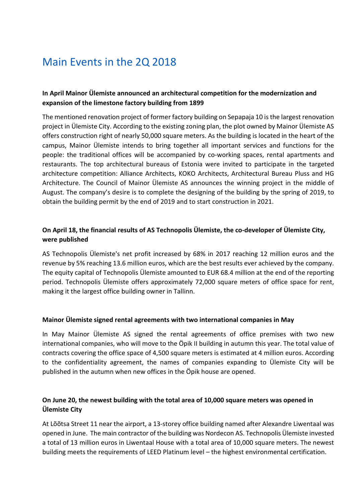### Main Events in the 2Q 2018

#### **In April Mainor Ülemiste announced an architectural competition for the modernization and expansion of the limestone factory building from 1899**

The mentioned renovation project of former factory building on Sepapaja 10 is the largest renovation project in Ülemiste City. According to the existing zoning plan, the plot owned by Mainor Ülemiste AS offers construction right of nearly 50,000 square meters. As the building is located in the heart of the campus, Mainor Ülemiste intends to bring together all important services and functions for the people: the traditional offices will be accompanied by co-working spaces, rental apartments and restaurants. The top architectural bureaus of Estonia were invited to participate in the targeted architecture competition: Alliance Architects, KOKO Architects, Architectural Bureau Pluss and HG Architecture. The Council of Mainor Ülemiste AS announces the winning project in the middle of August. The company's desire is to complete the designing of the building by the spring of 2019, to obtain the building permit by the end of 2019 and to start construction in 2021.

#### **On April 18, the financial results of AS Technopolis Ülemiste, the co-developer of Ülemiste City, were published**

AS Technopolis Ülemiste's net profit increased by 68% in 2017 reaching 12 million euros and the revenue by 5% reaching 13.6 million euros, which are the best results ever achieved by the company. The equity capital of Technopolis Ülemiste amounted to EUR 68.4 million at the end of the reporting period. Technopolis Ülemiste offers approximately 72,000 square meters of office space for rent, making it the largest office building owner in Tallinn.

#### **Mainor Ülemiste signed rental agreements with two international companies in May**

In May Mainor Ülemiste AS signed the rental agreements of office premises with two new international companies, who will move to the Öpik II building in autumn this year. The total value of contracts covering the office space of 4,500 square meters is estimated at 4 million euros. According to the confidentiality agreement, the names of companies expanding to Ülemiste City will be published in the autumn when new offices in the Öpik house are opened.

#### **On June 20, the newest building with the total area of 10,000 square meters was opened in Ülemiste City**

At Lõõtsa Street 11 near the airport, a 13-storey office building named after Alexandre Liwentaal was opened in June. The main contractor of the building was Nordecon AS. Technopolis Ülemiste invested a total of 13 million euros in Liwentaal House with a total area of 10,000 square meters. The newest building meets the requirements of LEED Platinum level – the highest environmental certification.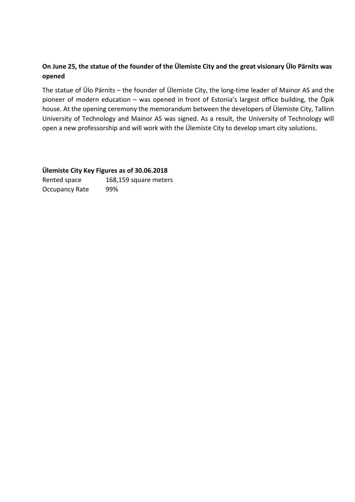#### **On June 25, the statue of the founder of the Ülemiste City and the great visionary Ülo Pärnits was opened**

The statue of Ülo Pärnits – the founder of Ülemiste City, the long-time leader of Mainor AS and the pioneer of modern education – was opened in front of Estonia's largest office building, the Öpik house. At the opening ceremony the memorandum between the developers of Ülemiste City, Tallinn University of Technology and Mainor AS was signed. As a result, the University of Technology will open a new professorship and will work with the Ülemiste City to develop smart city solutions.

#### **Ülemiste City Key Figures as of 30.06.2018**

Rented space 168,159 square meters Occupancy Rate 99%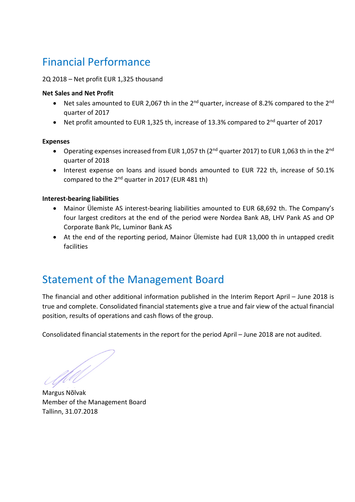## Financial Performance

#### 2Q 2018 – Net profit EUR 1,325 thousand

#### **Net Sales and Net Profit**

- Net sales amounted to EUR 2,067 th in the  $2^{nd}$  quarter, increase of 8.2% compared to the  $2^{nd}$ quarter of 2017
- Net profit amounted to EUR 1,325 th, increase of 13.3% compared to  $2^{nd}$  quarter of 2017

#### **Expenses**

- Operating expenses increased from EUR 1,057 th (2<sup>nd</sup> quarter 2017) to EUR 1,063 th in the 2<sup>nd</sup> quarter of 2018
- Interest expense on loans and issued bonds amounted to EUR 722 th, increase of 50.1% compared to the 2nd quarter in 2017 (EUR 481 th)

#### **Interest-bearing liabilities**

- Mainor Ülemiste AS interest-bearing liabilities amounted to EUR 68,692 th. The Company's four largest creditors at the end of the period were Nordea Bank AB, LHV Pank AS and OP Corporate Bank Plc, Luminor Bank AS
- At the end of the reporting period, Mainor Ülemiste had EUR 13,000 th in untapped credit facilities

### Statement of the Management Board

The financial and other additional information published in the Interim Report April – June 2018 is true and complete. Consolidated financial statements give a true and fair view of the actual financial position, results of operations and cash flows of the group.

Consolidated financial statements in the report for the period April – June 2018 are not audited.

**Margus Nõlvak** 

Member of the Management Board Tallinn, 31.07.2018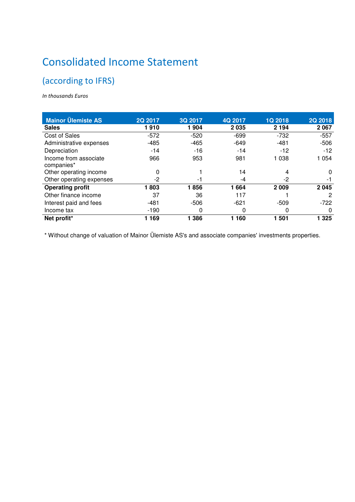# Consolidated Income Statement

### (according to IFRS)

*In thousands Euros* 

| <b>Mainor Ülemiste AS</b>           | 2Q 2017 | 3Q 2017 | 4Q 2017 | <b>1Q 2018</b> | <b>2Q 2018</b> |
|-------------------------------------|---------|---------|---------|----------------|----------------|
| <b>Sales</b>                        | 1910    | 1904    | 2035    | 2 1 9 4        | 2 0 6 7        |
| Cost of Sales                       | $-572$  | $-520$  | $-699$  | $-732$         | $-557$         |
| Administrative expenses             | $-485$  | $-465$  | $-649$  | $-481$         | $-506$         |
| Depreciation                        | $-14$   | $-16$   | $-14$   | $-12$          | $-12$          |
| Income from associate<br>companies* | 966     | 953     | 981     | 1 038          | 1 0 5 4        |
| Other operating income              | 0       |         | 14      | 4              | $\Omega$       |
| Other operating expenses            | $-2$    | -1      | -4      | -2             | -1             |
| <b>Operating profit</b>             | 1803    | 1856    | 1664    | 2 0 0 9        | 2045           |
| Other finance income                | 37      | 36      | 117     |                | 2              |
| Interest paid and fees              | $-481$  | $-506$  | $-621$  | $-509$         | $-722$         |
| Income tax                          | $-190$  | 0       | 0       | 0              | $\Omega$       |
| Net profit*                         | 169     | 1 3 8 6 | 160     | 1 501          | 1 325          |

\* Without change of valuation of Mainor Ülemiste AS's and associate companies' investments properties.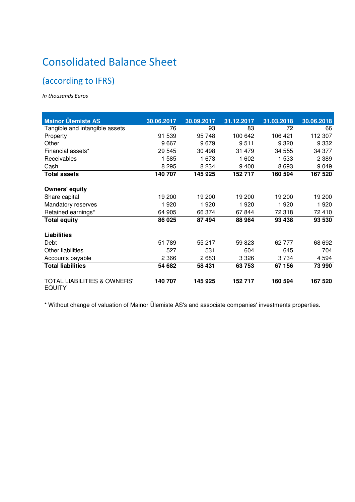# Consolidated Balance Sheet

### (according to IFRS)

*In thousands Euros* 

| <b>Mainor Ülemiste AS</b>                               | 30.06.2017 | 30.09.2017 | 31.12.2017 | 31.03.2018 | 30.06.2018 |
|---------------------------------------------------------|------------|------------|------------|------------|------------|
| Tangible and intangible assets                          | 76         | 93         | 83         | 72         | 66         |
| Property                                                | 91 539     | 95 748     | 100 642    | 106 421    | 112 307    |
| Other                                                   | 9667       | 9679       | 9511       | 9 3 2 0    | 9 3 3 2    |
| Financial assets*                                       | 29 545     | 30 4 98    | 31 479     | 34 555     | 34 377     |
| Receivables                                             | 1585       | 1 673      | 1 602      | 1 533      | 2 3 8 9    |
| Cash                                                    | 8 2 9 5    | 8 2 3 4    | 9400       | 8693       | 9 0 4 9    |
| <b>Total assets</b>                                     | 140 707    | 145 925    | 152 717    | 160 594    | 167 520    |
| <b>Owners' equity</b>                                   |            |            |            |            |            |
| Share capital                                           | 19 200     | 19 200     | 19 200     | 19 200     | 19 200     |
| Mandatory reserves                                      | 1920       | 1920       | 1920       | 1920       | 1920       |
| Retained earnings*                                      | 64 905     | 66 374     | 67844      | 72 318     | 72 410     |
| <b>Total equity</b>                                     | 86 025     | 87 494     | 88 964     | 93 438     | 93 530     |
| <b>Liabilities</b>                                      |            |            |            |            |            |
| Debt                                                    | 51 789     | 55 217     | 59 823     | 62 777     | 68 692     |
| <b>Other liabilities</b>                                | 527        | 531        | 604        | 645        | 704        |
| Accounts payable                                        | 2 3 6 6    | 2683       | 3 3 2 6    | 3734       | 4594       |
| <b>Total liabilities</b>                                | 54 682     | 58 431     | 63753      | 67 156     | 73 990     |
| <b>TOTAL LIABILITIES &amp; OWNERS'</b><br><b>EQUITY</b> | 140 707    | 145 925    | 152 717    | 160 594    | 167 520    |

\* Without change of valuation of Mainor Ülemiste AS's and associate companies' investments properties.